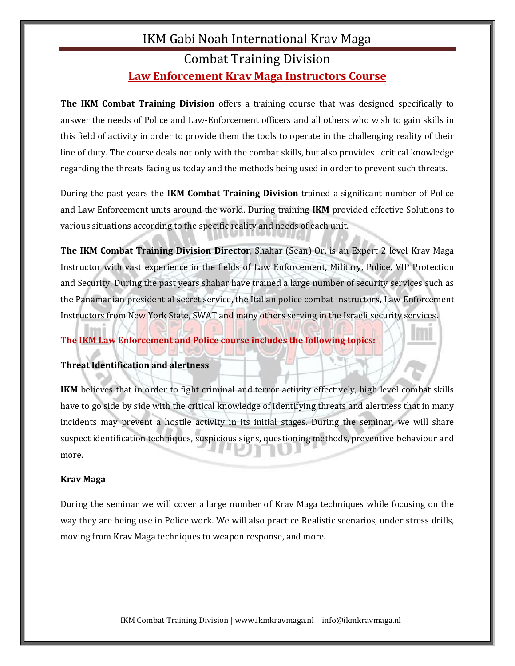## IKM Gabi Noah International Krav Maga Combat Training Division **Law Enforcement Krav Maga Instructors Course**

**The IKM Combat Training Division** offers a training course that was designed specifically to answer the needs of Police and Law-Enforcement officers and all others who wish to gain skills in this field of activity in order to provide them the tools to operate in the challenging reality of their line of duty. The course deals not only with the combat skills, but also provides critical knowledge regarding the threats facing us today and the methods being used in order to prevent such threats.

During the past years the **IKM Combat Training Division** trained a significant number of Police and Law Enforcement units around the world. During training **IKM** provided effective Solutions to various situations according to the specific reality and needs of each unit.

**The IKM Combat Training Division Director**, Shahar (Sean) Or, is an Expert 2 level Krav Maga Instructor with vast experience in the fields of Law Enforcement, Military, Police, VIP Protection and Security. During the past years shahar have trained a large number of security services such as the Panamanian presidential secret service, the Italian police combat instructors, Law Enforcement Instructors from New York State, SWAT and many others serving in the Israeli security services.

## **The IKM Law Enforcement and Police course includes the following topics:**

## **Threat Identification and alertness**

**IKM** believes that in order to fight criminal and terror activity effectively, high level combat skills have to go side by side with the critical knowledge of identifying threats and alertness that in many incidents may prevent a hostile activity in its initial stages. During the seminar, we will share suspect identification techniques, suspicious signs, questioning methods, preventive behaviour and more.

## **Krav Maga**

During the seminar we will cover a large number of Krav Maga techniques while focusing on the way they are being use in Police work. We will also practice Realistic scenarios, under stress drills, moving from Krav Maga techniques to weapon response, and more.

IKM Combat Training Division | www.ikmkravmaga.nl | info@ikmkravmaga.nl